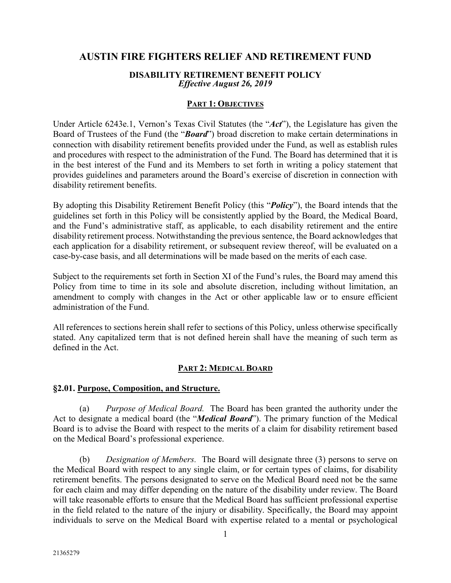# **AUSTIN FIRE FIGHTERS RELIEF AND RETIREMENT FUND**

#### **DISABILITY RETIREMENT BENEFIT POLICY** *Effective August 26, 2019*

#### **PART 1: OBJECTIVES**

Under Article 6243e.1, Vernon's Texas Civil Statutes (the "*Act*"), the Legislature has given the Board of Trustees of the Fund (the "*Board*") broad discretion to make certain determinations in connection with disability retirement benefits provided under the Fund, as well as establish rules and procedures with respect to the administration of the Fund. The Board has determined that it is in the best interest of the Fund and its Members to set forth in writing a policy statement that provides guidelines and parameters around the Board's exercise of discretion in connection with disability retirement benefits.

By adopting this Disability Retirement Benefit Policy (this "*Policy*"), the Board intends that the guidelines set forth in this Policy will be consistently applied by the Board, the Medical Board, and the Fund's administrative staff, as applicable, to each disability retirement and the entire disability retirement process. Notwithstanding the previous sentence, the Board acknowledges that each application for a disability retirement, or subsequent review thereof, will be evaluated on a case-by-case basis, and all determinations will be made based on the merits of each case.

Subject to the requirements set forth in Section XI of the Fund's rules, the Board may amend this Policy from time to time in its sole and absolute discretion, including without limitation, an amendment to comply with changes in the Act or other applicable law or to ensure efficient administration of the Fund.

All references to sections herein shall refer to sections of this Policy, unless otherwise specifically stated. Any capitalized term that is not defined herein shall have the meaning of such term as defined in the Act.

## **PART 2: MEDICAL BOARD**

#### **§2.01. Purpose, Composition, and Structure.**

(a) *Purpose of Medical Board.* The Board has been granted the authority under the Act to designate a medical board (the "*Medical Board*"). The primary function of the Medical Board is to advise the Board with respect to the merits of a claim for disability retirement based on the Medical Board's professional experience.

(b) *Designation of Members.* The Board will designate three (3) persons to serve on the Medical Board with respect to any single claim, or for certain types of claims, for disability retirement benefits. The persons designated to serve on the Medical Board need not be the same for each claim and may differ depending on the nature of the disability under review. The Board will take reasonable efforts to ensure that the Medical Board has sufficient professional expertise in the field related to the nature of the injury or disability. Specifically, the Board may appoint individuals to serve on the Medical Board with expertise related to a mental or psychological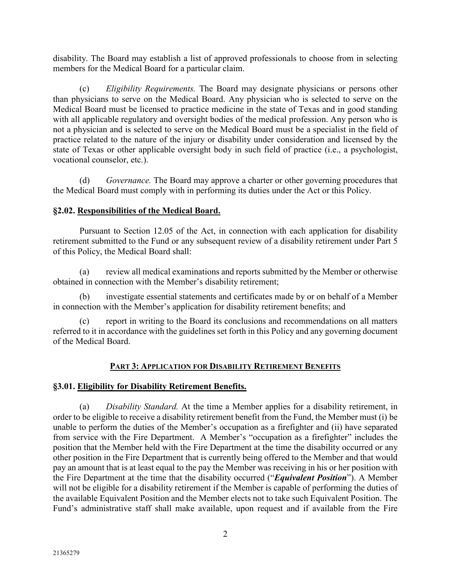disability. The Board may establish a list of approved professionals to choose from in selecting members for the Medical Board for a particular claim.

(c) *Eligibility Requirements.* The Board may designate physicians or persons other than physicians to serve on the Medical Board. Any physician who is selected to serve on the Medical Board must be licensed to practice medicine in the state of Texas and in good standing with all applicable regulatory and oversight bodies of the medical profession. Any person who is not a physician and is selected to serve on the Medical Board must be a specialist in the field of practice related to the nature of the injury or disability under consideration and licensed by the state of Texas or other applicable oversight body in such field of practice (i.e., a psychologist, vocational counselor, etc.).

(d) *Governance.* The Board may approve a charter or other governing procedures that the Medical Board must comply with in performing its duties under the Act or this Policy.

## **§2.02. Responsibilities of the Medical Board.**

Pursuant to Section 12.05 of the Act, in connection with each application for disability retirement submitted to the Fund or any subsequent review of a disability retirement under Part 5 of this Policy, the Medical Board shall:

(a) review all medical examinations and reports submitted by the Member or otherwise obtained in connection with the Member's disability retirement;

(b) investigate essential statements and certificates made by or on behalf of a Member in connection with the Member's application for disability retirement benefits; and

(c) report in writing to the Board its conclusions and recommendations on all matters referred to it in accordance with the guidelines set forth in this Policy and any governing document of the Medical Board.

## **PART 3: APPLICATION FOR DISABILITY RETIREMENT BENEFITS**

## **§3.01. Eligibility for Disability Retirement Benefits.**

(a) *Disability Standard.* At the time a Member applies for a disability retirement, in order to be eligible to receive a disability retirement benefit from the Fund, the Member must (i) be unable to perform the duties of the Member's occupation as a firefighter and (ii) have separated from service with the Fire Department. A Member's "occupation as a firefighter" includes the position that the Member held with the Fire Department at the time the disability occurred or any other position in the Fire Department that is currently being offered to the Member and that would pay an amount that is at least equal to the pay the Member was receiving in his or her position with the Fire Department at the time that the disability occurred ("*Equivalent Position*"). A Member will not be eligible for a disability retirement if the Member is capable of performing the duties of the available Equivalent Position and the Member elects not to take such Equivalent Position. The Fund's administrative staff shall make available, upon request and if available from the Fire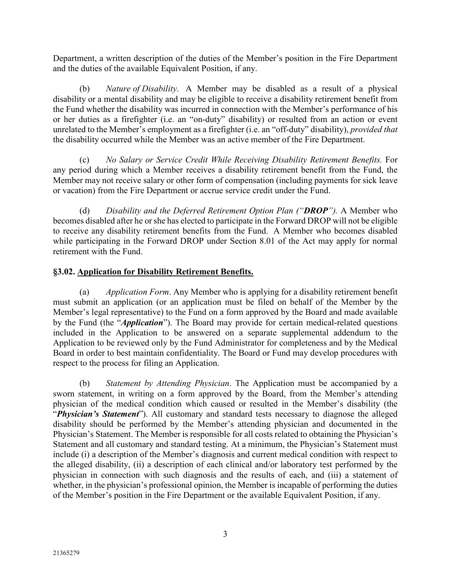Department, a written description of the duties of the Member's position in the Fire Department and the duties of the available Equivalent Position, if any.

(b) *Nature of Disability*. A Member may be disabled as a result of a physical disability or a mental disability and may be eligible to receive a disability retirement benefit from the Fund whether the disability was incurred in connection with the Member's performance of his or her duties as a firefighter (i.e. an "on-duty" disability) or resulted from an action or event unrelated to the Member's employment as a firefighter (i.e. an "off-duty" disability), *provided that* the disability occurred while the Member was an active member of the Fire Department.

(c) *No Salary or Service Credit While Receiving Disability Retirement Benefits.* For any period during which a Member receives a disability retirement benefit from the Fund, the Member may not receive salary or other form of compensation (including payments for sick leave or vacation) from the Fire Department or accrue service credit under the Fund.

(d) *Disability and the Deferred Retirement Option Plan ("DROP").* A Member who becomes disabled after he or she has elected to participate in the Forward DROP will not be eligible to receive any disability retirement benefits from the Fund. A Member who becomes disabled while participating in the Forward DROP under Section 8.01 of the Act may apply for normal retirement with the Fund.

#### **§3.02. Application for Disability Retirement Benefits.**

(a) *Application Form*. Any Member who is applying for a disability retirement benefit must submit an application (or an application must be filed on behalf of the Member by the Member's legal representative) to the Fund on a form approved by the Board and made available by the Fund (the "*Application*"). The Board may provide for certain medical-related questions included in the Application to be answered on a separate supplemental addendum to the Application to be reviewed only by the Fund Administrator for completeness and by the Medical Board in order to best maintain confidentiality. The Board or Fund may develop procedures with respect to the process for filing an Application.

(b) *Statement by Attending Physician*. The Application must be accompanied by a sworn statement, in writing on a form approved by the Board, from the Member's attending physician of the medical condition which caused or resulted in the Member's disability (the "*Physician's Statement*"). All customary and standard tests necessary to diagnose the alleged disability should be performed by the Member's attending physician and documented in the Physician's Statement. The Member is responsible for all costs related to obtaining the Physician's Statement and all customary and standard testing. At a minimum, the Physician's Statement must include (i) a description of the Member's diagnosis and current medical condition with respect to the alleged disability, (ii) a description of each clinical and/or laboratory test performed by the physician in connection with such diagnosis and the results of each, and (iii) a statement of whether, in the physician's professional opinion, the Member is incapable of performing the duties of the Member's position in the Fire Department or the available Equivalent Position, if any.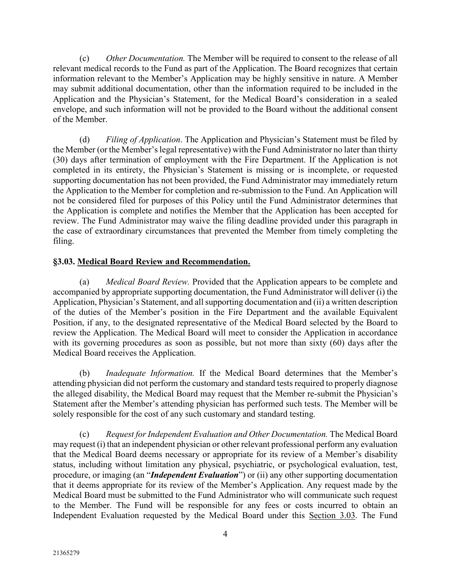(c) *Other Documentation.* The Member will be required to consent to the release of all relevant medical records to the Fund as part of the Application. The Board recognizes that certain information relevant to the Member's Application may be highly sensitive in nature. A Member may submit additional documentation, other than the information required to be included in the Application and the Physician's Statement, for the Medical Board's consideration in a sealed envelope, and such information will not be provided to the Board without the additional consent of the Member.

(d) *Filing of Application*. The Application and Physician's Statement must be filed by the Member (or the Member's legal representative) with the Fund Administrator no later than thirty (30) days after termination of employment with the Fire Department. If the Application is not completed in its entirety, the Physician's Statement is missing or is incomplete, or requested supporting documentation has not been provided, the Fund Administrator may immediately return the Application to the Member for completion and re-submission to the Fund. An Application will not be considered filed for purposes of this Policy until the Fund Administrator determines that the Application is complete and notifies the Member that the Application has been accepted for review. The Fund Administrator may waive the filing deadline provided under this paragraph in the case of extraordinary circumstances that prevented the Member from timely completing the filing.

## **§3.03. Medical Board Review and Recommendation.**

(a) *Medical Board Review.* Provided that the Application appears to be complete and accompanied by appropriate supporting documentation, the Fund Administrator will deliver (i) the Application, Physician's Statement, and all supporting documentation and (ii) a written description of the duties of the Member's position in the Fire Department and the available Equivalent Position, if any, to the designated representative of the Medical Board selected by the Board to review the Application. The Medical Board will meet to consider the Application in accordance with its governing procedures as soon as possible, but not more than sixty (60) days after the Medical Board receives the Application.

(b) *Inadequate Information.* If the Medical Board determines that the Member's attending physician did not perform the customary and standard tests required to properly diagnose the alleged disability, the Medical Board may request that the Member re-submit the Physician's Statement after the Member's attending physician has performed such tests. The Member will be solely responsible for the cost of any such customary and standard testing.

(c) *Request for Independent Evaluation and Other Documentation.* The Medical Board may request (i) that an independent physician or other relevant professional perform any evaluation that the Medical Board deems necessary or appropriate for its review of a Member's disability status, including without limitation any physical, psychiatric, or psychological evaluation, test, procedure, or imaging (an "*Independent Evaluation*") or (ii) any other supporting documentation that it deems appropriate for its review of the Member's Application. Any request made by the Medical Board must be submitted to the Fund Administrator who will communicate such request to the Member. The Fund will be responsible for any fees or costs incurred to obtain an Independent Evaluation requested by the Medical Board under this Section 3.03. The Fund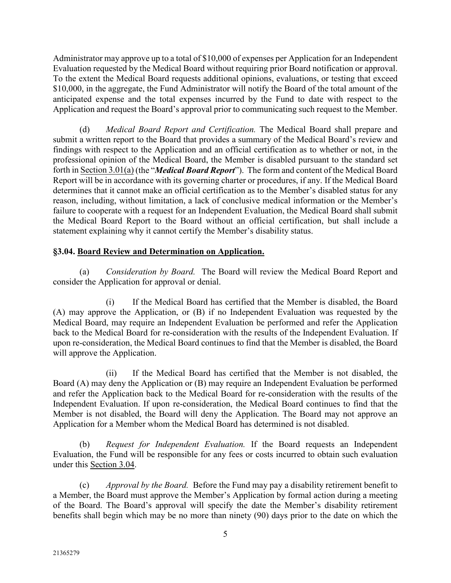Administrator may approve up to a total of \$10,000 of expenses per Application for an Independent Evaluation requested by the Medical Board without requiring prior Board notification or approval. To the extent the Medical Board requests additional opinions, evaluations, or testing that exceed \$10,000, in the aggregate, the Fund Administrator will notify the Board of the total amount of the anticipated expense and the total expenses incurred by the Fund to date with respect to the Application and request the Board's approval prior to communicating such request to the Member.

(d) *Medical Board Report and Certification.* The Medical Board shall prepare and submit a written report to the Board that provides a summary of the Medical Board's review and findings with respect to the Application and an official certification as to whether or not, in the professional opinion of the Medical Board, the Member is disabled pursuant to the standard set forth in Section 3.01(a) (the "*Medical Board Report*"). The form and content of the Medical Board Report will be in accordance with its governing charter or procedures, if any. If the Medical Board determines that it cannot make an official certification as to the Member's disabled status for any reason, including, without limitation, a lack of conclusive medical information or the Member's failure to cooperate with a request for an Independent Evaluation, the Medical Board shall submit the Medical Board Report to the Board without an official certification, but shall include a statement explaining why it cannot certify the Member's disability status.

# **§3.04. Board Review and Determination on Application.**

(a) *Consideration by Board.* The Board will review the Medical Board Report and consider the Application for approval or denial.

(i) If the Medical Board has certified that the Member is disabled, the Board (A) may approve the Application, or (B) if no Independent Evaluation was requested by the Medical Board, may require an Independent Evaluation be performed and refer the Application back to the Medical Board for re-consideration with the results of the Independent Evaluation. If upon re-consideration, the Medical Board continues to find that the Member is disabled, the Board will approve the Application.

(ii) If the Medical Board has certified that the Member is not disabled, the Board (A) may deny the Application or (B) may require an Independent Evaluation be performed and refer the Application back to the Medical Board for re-consideration with the results of the Independent Evaluation. If upon re-consideration, the Medical Board continues to find that the Member is not disabled, the Board will deny the Application. The Board may not approve an Application for a Member whom the Medical Board has determined is not disabled.

(b) *Request for Independent Evaluation.* If the Board requests an Independent Evaluation, the Fund will be responsible for any fees or costs incurred to obtain such evaluation under this Section 3.04.

(c) *Approval by the Board.* Before the Fund may pay a disability retirement benefit to a Member, the Board must approve the Member's Application by formal action during a meeting of the Board. The Board's approval will specify the date the Member's disability retirement benefits shall begin which may be no more than ninety (90) days prior to the date on which the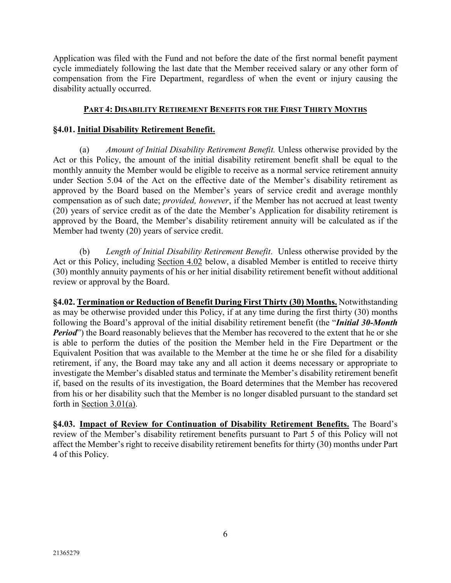Application was filed with the Fund and not before the date of the first normal benefit payment cycle immediately following the last date that the Member received salary or any other form of compensation from the Fire Department, regardless of when the event or injury causing the disability actually occurred.

## **PART 4: DISABILITY RETIREMENT BENEFITS FOR THE FIRST THIRTY MONTHS**

## **§4.01. Initial Disability Retirement Benefit.**

(a) *Amount of Initial Disability Retirement Benefit.* Unless otherwise provided by the Act or this Policy, the amount of the initial disability retirement benefit shall be equal to the monthly annuity the Member would be eligible to receive as a normal service retirement annuity under Section 5.04 of the Act on the effective date of the Member's disability retirement as approved by the Board based on the Member's years of service credit and average monthly compensation as of such date; *provided, however*, if the Member has not accrued at least twenty (20) years of service credit as of the date the Member's Application for disability retirement is approved by the Board, the Member's disability retirement annuity will be calculated as if the Member had twenty (20) years of service credit.

(b) *Length of Initial Disability Retirement Benefit*. Unless otherwise provided by the Act or this Policy, including Section 4.02 below, a disabled Member is entitled to receive thirty (30) monthly annuity payments of his or her initial disability retirement benefit without additional review or approval by the Board.

**§4.02. Termination or Reduction of Benefit During First Thirty (30) Months.** Notwithstanding as may be otherwise provided under this Policy, if at any time during the first thirty (30) months following the Board's approval of the initial disability retirement benefit (the "*Initial 30-Month Period*") the Board reasonably believes that the Member has recovered to the extent that he or she is able to perform the duties of the position the Member held in the Fire Department or the Equivalent Position that was available to the Member at the time he or she filed for a disability retirement, if any, the Board may take any and all action it deems necessary or appropriate to investigate the Member's disabled status and terminate the Member's disability retirement benefit if, based on the results of its investigation, the Board determines that the Member has recovered from his or her disability such that the Member is no longer disabled pursuant to the standard set forth in Section 3.01(a).

**§4.03. Impact of Review for Continuation of Disability Retirement Benefits.** The Board's review of the Member's disability retirement benefits pursuant to Part 5 of this Policy will not affect the Member's right to receive disability retirement benefits for thirty (30) months under Part 4 of this Policy.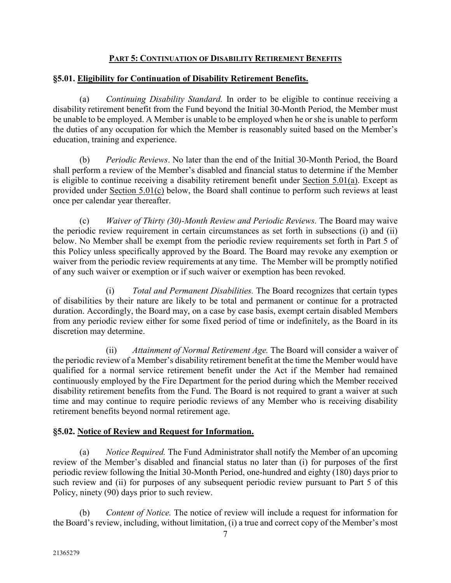#### **PART 5: CONTINUATION OF DISABILITY RETIREMENT BENEFITS**

#### **§5.01. Eligibility for Continuation of Disability Retirement Benefits.**

(a) *Continuing Disability Standard.* In order to be eligible to continue receiving a disability retirement benefit from the Fund beyond the Initial 30-Month Period, the Member must be unable to be employed. A Member is unable to be employed when he or she is unable to perform the duties of any occupation for which the Member is reasonably suited based on the Member's education, training and experience.

(b) *Periodic Reviews*. No later than the end of the Initial 30-Month Period, the Board shall perform a review of the Member's disabled and financial status to determine if the Member is eligible to continue receiving a disability retirement benefit under Section 5.01(a). Except as provided under Section 5.01(c) below, the Board shall continue to perform such reviews at least once per calendar year thereafter.

(c) *Waiver of Thirty (30)-Month Review and Periodic Reviews.* The Board may waive the periodic review requirement in certain circumstances as set forth in subsections (i) and (ii) below. No Member shall be exempt from the periodic review requirements set forth in Part 5 of this Policy unless specifically approved by the Board. The Board may revoke any exemption or waiver from the periodic review requirements at any time. The Member will be promptly notified of any such waiver or exemption or if such waiver or exemption has been revoked.

(i) *Total and Permanent Disabilities.* The Board recognizes that certain types of disabilities by their nature are likely to be total and permanent or continue for a protracted duration. Accordingly, the Board may, on a case by case basis, exempt certain disabled Members from any periodic review either for some fixed period of time or indefinitely, as the Board in its discretion may determine.

(ii) *Attainment of Normal Retirement Age.* The Board will consider a waiver of the periodic review of a Member's disability retirement benefit at the time the Member would have qualified for a normal service retirement benefit under the Act if the Member had remained continuously employed by the Fire Department for the period during which the Member received disability retirement benefits from the Fund. The Board is not required to grant a waiver at such time and may continue to require periodic reviews of any Member who is receiving disability retirement benefits beyond normal retirement age.

## **§5.02. Notice of Review and Request for Information.**

(a) *Notice Required.* The Fund Administrator shall notify the Member of an upcoming review of the Member's disabled and financial status no later than (i) for purposes of the first periodic review following the Initial 30-Month Period, one-hundred and eighty (180) days prior to such review and (ii) for purposes of any subsequent periodic review pursuant to Part 5 of this Policy, ninety (90) days prior to such review.

(b) *Content of Notice.* The notice of review will include a request for information for the Board's review, including, without limitation, (i) a true and correct copy of the Member's most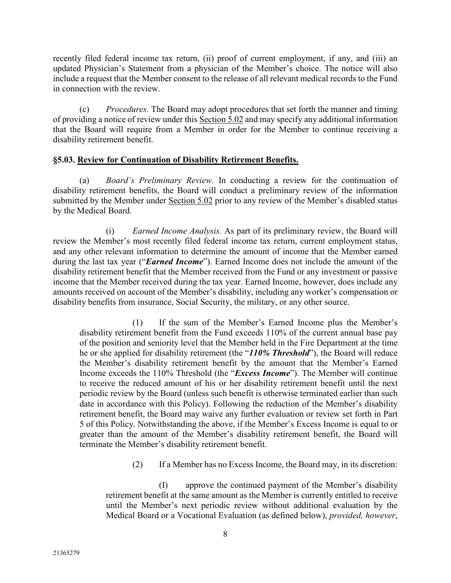recently filed federal income tax return, (ii) proof of current employment, if any, and (iii) an updated Physician's Statement from a physician of the Member's choice. The notice will also include a request that the Member consent to the release of all relevant medical records to the Fund in connection with the review.

(c) *Procedures.* The Board may adopt procedures that set forth the manner and timing of providing a notice of review under this Section 5.02 and may specify any additional information that the Board will require from a Member in order for the Member to continue receiving a disability retirement benefit.

#### **§5.03. Review for Continuation of Disability Retirement Benefits.**

(a) *Board's Preliminary Review.* In conducting a review for the continuation of disability retirement benefits, the Board will conduct a preliminary review of the information submitted by the Member under Section 5.02 prior to any review of the Member's disabled status by the Medical Board.

(i) *Earned Income Analysis.* As part of its preliminary review, the Board will review the Member's most recently filed federal income tax return, current employment status, and any other relevant information to determine the amount of income that the Member earned during the last tax year ("*Earned Income*"). Earned Income does not include the amount of the disability retirement benefit that the Member received from the Fund or any investment or passive income that the Member received during the tax year. Earned Income, however, does include any amounts received on account of the Member's disability, including any worker's compensation or disability benefits from insurance, Social Security, the military, or any other source.

(1) If the sum of the Member's Earned Income plus the Member's disability retirement benefit from the Fund exceeds 110% of the current annual base pay of the position and seniority level that the Member held in the Fire Department at the time he or she applied for disability retirement (the "*110% Threshold*"), the Board will reduce the Member's disability retirement benefit by the amount that the Member's Earned Income exceeds the 110% Threshold (the "*Excess Income*"). The Member will continue to receive the reduced amount of his or her disability retirement benefit until the next periodic review by the Board (unless such benefit is otherwise terminated earlier than such date in accordance with this Policy). Following the reduction of the Member's disability retirement benefit, the Board may waive any further evaluation or review set forth in Part 5 of this Policy. Notwithstanding the above, if the Member's Excess Income is equal to or greater than the amount of the Member's disability retirement benefit, the Board will terminate the Member's disability retirement benefit.

(2) If a Member has no Excess Income, the Board may, in its discretion:

(I) approve the continued payment of the Member's disability retirement benefit at the same amount as the Member is currently entitled to receive until the Member's next periodic review without additional evaluation by the Medical Board or a Vocational Evaluation (as defined below), *provided, however*,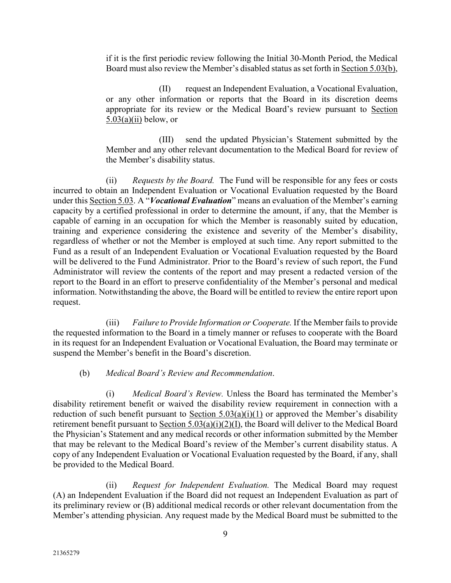if it is the first periodic review following the Initial 30-Month Period, the Medical Board must also review the Member's disabled status as set forth in Section 5.03(b),

(II) request an Independent Evaluation, a Vocational Evaluation, or any other information or reports that the Board in its discretion deems appropriate for its review or the Medical Board's review pursuant to Section  $5.03(a)(ii)$  below, or

(III) send the updated Physician's Statement submitted by the Member and any other relevant documentation to the Medical Board for review of the Member's disability status.

(ii) *Requests by the Board.* The Fund will be responsible for any fees or costs incurred to obtain an Independent Evaluation or Vocational Evaluation requested by the Board under this Section 5.03. A "*Vocational Evaluation*" means an evaluation of the Member's earning capacity by a certified professional in order to determine the amount, if any, that the Member is capable of earning in an occupation for which the Member is reasonably suited by education, training and experience considering the existence and severity of the Member's disability, regardless of whether or not the Member is employed at such time. Any report submitted to the Fund as a result of an Independent Evaluation or Vocational Evaluation requested by the Board will be delivered to the Fund Administrator. Prior to the Board's review of such report, the Fund Administrator will review the contents of the report and may present a redacted version of the report to the Board in an effort to preserve confidentiality of the Member's personal and medical information. Notwithstanding the above, the Board will be entitled to review the entire report upon request.

(iii) *Failure to Provide Information or Cooperate.* If the Member fails to provide the requested information to the Board in a timely manner or refuses to cooperate with the Board in its request for an Independent Evaluation or Vocational Evaluation, the Board may terminate or suspend the Member's benefit in the Board's discretion.

#### (b) *Medical Board's Review and Recommendation*.

(i) *Medical Board's Review.* Unless the Board has terminated the Member's disability retirement benefit or waived the disability review requirement in connection with a reduction of such benefit pursuant to Section  $5.03(a)(i)(1)$  or approved the Member's disability retirement benefit pursuant to Section 5.03(a)(i)(2)(I), the Board will deliver to the Medical Board the Physician's Statement and any medical records or other information submitted by the Member that may be relevant to the Medical Board's review of the Member's current disability status. A copy of any Independent Evaluation or Vocational Evaluation requested by the Board, if any, shall be provided to the Medical Board.

(ii) *Request for Independent Evaluation.* The Medical Board may request (A) an Independent Evaluation if the Board did not request an Independent Evaluation as part of its preliminary review or (B) additional medical records or other relevant documentation from the Member's attending physician. Any request made by the Medical Board must be submitted to the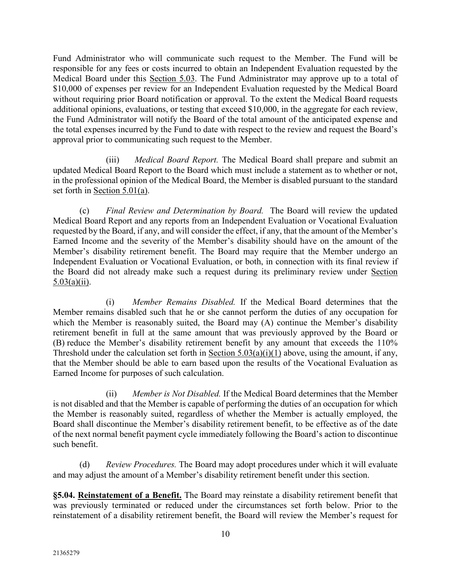Fund Administrator who will communicate such request to the Member. The Fund will be responsible for any fees or costs incurred to obtain an Independent Evaluation requested by the Medical Board under this Section 5.03. The Fund Administrator may approve up to a total of \$10,000 of expenses per review for an Independent Evaluation requested by the Medical Board without requiring prior Board notification or approval. To the extent the Medical Board requests additional opinions, evaluations, or testing that exceed \$10,000, in the aggregate for each review, the Fund Administrator will notify the Board of the total amount of the anticipated expense and the total expenses incurred by the Fund to date with respect to the review and request the Board's approval prior to communicating such request to the Member.

(iii) *Medical Board Report.* The Medical Board shall prepare and submit an updated Medical Board Report to the Board which must include a statement as to whether or not, in the professional opinion of the Medical Board, the Member is disabled pursuant to the standard set forth in Section 5.01(a).

(c) *Final Review and Determination by Board.* The Board will review the updated Medical Board Report and any reports from an Independent Evaluation or Vocational Evaluation requested by the Board, if any, and will consider the effect, if any, that the amount of the Member's Earned Income and the severity of the Member's disability should have on the amount of the Member's disability retirement benefit. The Board may require that the Member undergo an Independent Evaluation or Vocational Evaluation, or both, in connection with its final review if the Board did not already make such a request during its preliminary review under Section  $5.03(a)(ii)$ .

(i) *Member Remains Disabled.* If the Medical Board determines that the Member remains disabled such that he or she cannot perform the duties of any occupation for which the Member is reasonably suited, the Board may (A) continue the Member's disability retirement benefit in full at the same amount that was previously approved by the Board or (B) reduce the Member's disability retirement benefit by any amount that exceeds the 110% Threshold under the calculation set forth in Section  $5.03(a)(i)(1)$  above, using the amount, if any, that the Member should be able to earn based upon the results of the Vocational Evaluation as Earned Income for purposes of such calculation.

(ii) *Member is Not Disabled.* If the Medical Board determines that the Member is not disabled and that the Member is capable of performing the duties of an occupation for which the Member is reasonably suited, regardless of whether the Member is actually employed, the Board shall discontinue the Member's disability retirement benefit, to be effective as of the date of the next normal benefit payment cycle immediately following the Board's action to discontinue such benefit.

(d) *Review Procedures.* The Board may adopt procedures under which it will evaluate and may adjust the amount of a Member's disability retirement benefit under this section.

**§5.04. Reinstatement of a Benefit.** The Board may reinstate a disability retirement benefit that was previously terminated or reduced under the circumstances set forth below. Prior to the reinstatement of a disability retirement benefit, the Board will review the Member's request for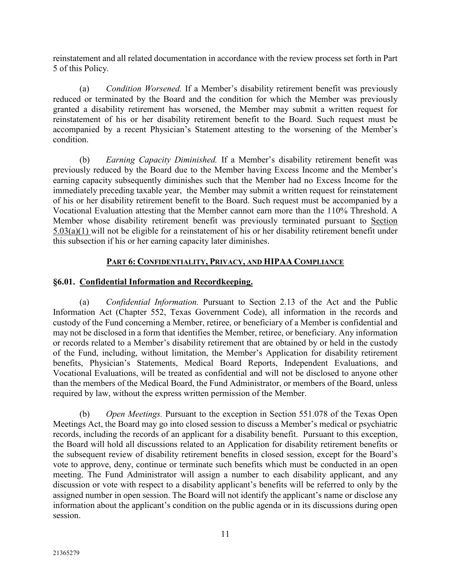reinstatement and all related documentation in accordance with the review process set forth in Part 5 of this Policy.

(a) *Condition Worsened.* If a Member's disability retirement benefit was previously reduced or terminated by the Board and the condition for which the Member was previously granted a disability retirement has worsened, the Member may submit a written request for reinstatement of his or her disability retirement benefit to the Board. Such request must be accompanied by a recent Physician's Statement attesting to the worsening of the Member's condition.

(b) *Earning Capacity Diminished.* If a Member's disability retirement benefit was previously reduced by the Board due to the Member having Excess Income and the Member's earning capacity subsequently diminishes such that the Member had no Excess Income for the immediately preceding taxable year, the Member may submit a written request for reinstatement of his or her disability retirement benefit to the Board. Such request must be accompanied by a Vocational Evaluation attesting that the Member cannot earn more than the 110% Threshold. A Member whose disability retirement benefit was previously terminated pursuant to Section 5.03(a)(1) will not be eligible for a reinstatement of his or her disability retirement benefit under this subsection if his or her earning capacity later diminishes.

## **PART 6: CONFIDENTIALITY, PRIVACY, AND HIPAA COMPLIANCE**

## **§6.01. Confidential Information and Recordkeeping.**

(a) *Confidential Information.* Pursuant to Section 2.13 of the Act and the Public Information Act (Chapter 552, Texas Government Code), all information in the records and custody of the Fund concerning a Member, retiree, or beneficiary of a Member is confidential and may not be disclosed in a form that identifies the Member, retiree, or beneficiary. Any information or records related to a Member's disability retirement that are obtained by or held in the custody of the Fund, including, without limitation, the Member's Application for disability retirement benefits, Physician's Statements, Medical Board Reports, Independent Evaluations, and Vocational Evaluations, will be treated as confidential and will not be disclosed to anyone other than the members of the Medical Board, the Fund Administrator, or members of the Board, unless required by law, without the express written permission of the Member.

(b) *Open Meetings.* Pursuant to the exception in Section 551.078 of the Texas Open Meetings Act, the Board may go into closed session to discuss a Member's medical or psychiatric records, including the records of an applicant for a disability benefit. Pursuant to this exception, the Board will hold all discussions related to an Application for disability retirement benefits or the subsequent review of disability retirement benefits in closed session, except for the Board's vote to approve, deny, continue or terminate such benefits which must be conducted in an open meeting. The Fund Administrator will assign a number to each disability applicant, and any discussion or vote with respect to a disability applicant's benefits will be referred to only by the assigned number in open session. The Board will not identify the applicant's name or disclose any information about the applicant's condition on the public agenda or in its discussions during open session.